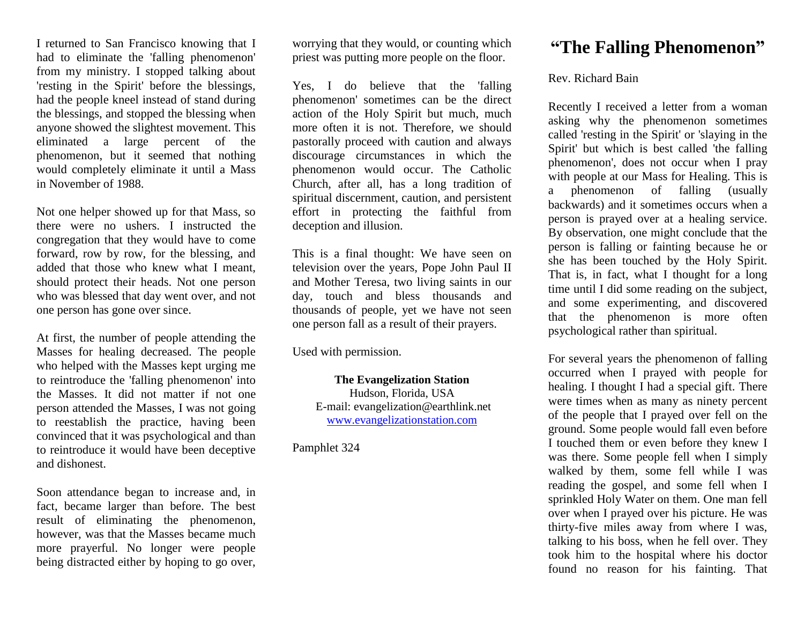I returned to San Francisco knowing that I had to eliminate the 'falling phenomenon' from my ministry. I stopped talking about 'resting in the Spirit' before the blessings, had the people kneel instead of stand during the blessings, and stopped the blessing when anyone showed the slightest movement. This eliminated a large percent of the phenomenon, but it seemed that nothing would completely eliminate it until a Mass in November of 1988.

Not one helper showed up for that Mass, so there were no ushers. I instructed the congregation that they would have to come forward, row by row, for the blessing, and added that those who knew what I meant, should protect their heads. Not one person who was blessed that day went over, and not one person has gone over since.

At first, the number of people attending the Masses for healing decreased. The people who helped with the Masses kept urging me to reintroduce the 'falling phenomenon' into the Masses. It did not matter if not one person attended the Masses, I was not going to reestablish the practice, having been convinced that it was psychological and than to reintroduce it would have been deceptive and dishonest.

Soon attendance began to increase and, in fact, became larger than before. The best result of eliminating the phenomenon, however, was that the Masses became much more prayerful. No longer were people being distracted either by hoping to go over,

worrying that they would, or counting which priest was putting more people on the floor.

Yes, I do believe that the 'falling phenomenon' sometimes can be the direct action of the Holy Spirit but much, much more often it is not. Therefore, we should pastorally proceed with caution and always discourage circumstances in which the phenomenon would occur. The Catholic Church, after all, has a long tradition of spiritual discernment, caution, and persistent effort in protecting the faithful from deception and illusion.

This is a final thought: We have seen on television over the years, Pope John Paul II and Mother Teresa, two living saints in our day, touch and bless thousands and thousands of people, yet we have not seen one person fall as a result of their prayers.

Used with permission.

**The Evangelization Station** Hudson, Florida, USA E-mail: evangelization@earthlink.net [www.evangelizationstation.com](http://www.pjpiisoe.org/)

Pamphlet 324

## **"The Falling Phenomenon"**

## Rev. Richard Bain

Recently I received a letter from a woman asking why the phenomenon sometimes called 'resting in the Spirit' or 'slaying in the Spirit' but which is best called 'the falling phenomenon', does not occur when I pray with people at our Mass for Healing. This is a phenomenon of falling (usually backwards) and it sometimes occurs when a person is prayed over at a healing service. By observation, one might conclude that the person is falling or fainting because he or she has been touched by the Holy Spirit. That is, in fact, what I thought for a long time until I did some reading on the subject, and some experimenting, and discovered that the phenomenon is more often psychological rather than spiritual.

For several years the phenomenon of falling occurred when I prayed with people for healing. I thought I had a special gift. There were times when as many as ninety percent of the people that I prayed over fell on the ground. Some people would fall even before I touched them or even before they knew I was there. Some people fell when I simply walked by them, some fell while I was reading the gospel, and some fell when I sprinkled Holy Water on them. One man fell over when I prayed over his picture. He was thirty-five miles away from where I was, talking to his boss, when he fell over. They took him to the hospital where his doctor found no reason for his fainting. That